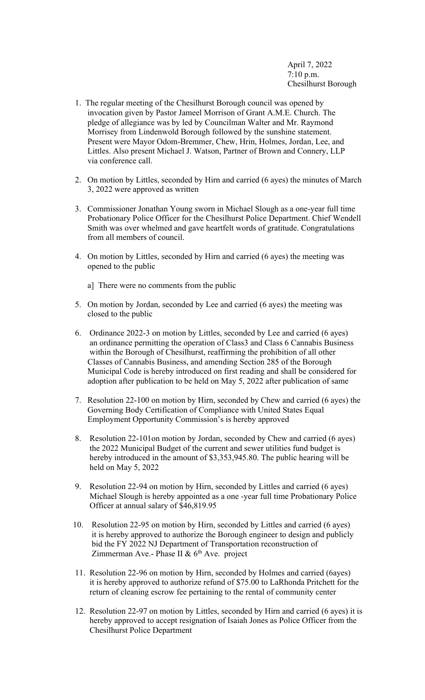April 7, 2022 7:10 p.m. Chesilhurst Borough

- 1. The regular meeting of the Chesilhurst Borough council was opened by invocation given by Pastor Jameel Morrison of Grant A.M.E. Church. The pledge of allegiance was by led by Councilman Walter and Mr. Raymond Morrisey from Lindenwold Borough followed by the sunshine statement. Present were Mayor Odom-Bremmer, Chew, Hrin, Holmes, Jordan, Lee, and Littles. Also present Michael J. Watson, Partner of Brown and Connery, LLP via conference call.
- 2. On motion by Littles, seconded by Hirn and carried (6 ayes) the minutes of March 3, 2022 were approved as written
- 3. Commissioner Jonathan Young sworn in Michael Slough as a one-year full time Probationary Police Officer for the Chesilhurst Police Department. Chief Wendell Smith was over whelmed and gave heartfelt words of gratitude. Congratulations from all members of council.
- 4. On motion by Littles, seconded by Hirn and carried (6 ayes) the meeting was opened to the public
	- a] There were no comments from the public
- 5. On motion by Jordan, seconded by Lee and carried (6 ayes) the meeting was closed to the public
- 6. Ordinance 2022-3 on motion by Littles, seconded by Lee and carried (6 ayes) an ordinance permitting the operation of Class3 and Class 6 Cannabis Business within the Borough of Chesilhurst, reaffirming the prohibition of all other Classes of Cannabis Business, and amending Section 285 of the Borough Municipal Code is hereby introduced on first reading and shall be considered for adoption after publication to be held on May 5, 2022 after publication of same
- 7. Resolution 22-100 on motion by Hirn, seconded by Chew and carried (6 ayes) the Governing Body Certification of Compliance with United States Equal Employment Opportunity Commission's is hereby approved
- 8. Resolution 22-101on motion by Jordan, seconded by Chew and carried (6 ayes) the 2022 Municipal Budget of the current and sewer utilities fund budget is hereby introduced in the amount of \$3,353,945.80. The public hearing will be held on May 5, 2022
- 9. Resolution 22-94 on motion by Hirn, seconded by Littles and carried (6 ayes) Michael Slough is hereby appointed as a one -year full time Probationary Police Officer at annual salary of \$46,819.95
- 10. Resolution 22-95 on motion by Hirn, seconded by Littles and carried (6 ayes) it is hereby approved to authorize the Borough engineer to design and publicly bid the FY 2022 NJ Department of Transportation reconstruction of Zimmerman Ave.- Phase II &  $6<sup>th</sup>$  Ave. project
- 11. Resolution 22-96 on motion by Hirn, seconded by Holmes and carried (6ayes) it is hereby approved to authorize refund of \$75.00 to LaRhonda Pritchett for the return of cleaning escrow fee pertaining to the rental of community center
- 12. Resolution 22-97 on motion by Littles, seconded by Hirn and carried (6 ayes) it is hereby approved to accept resignation of Isaiah Jones as Police Officer from the Chesilhurst Police Department